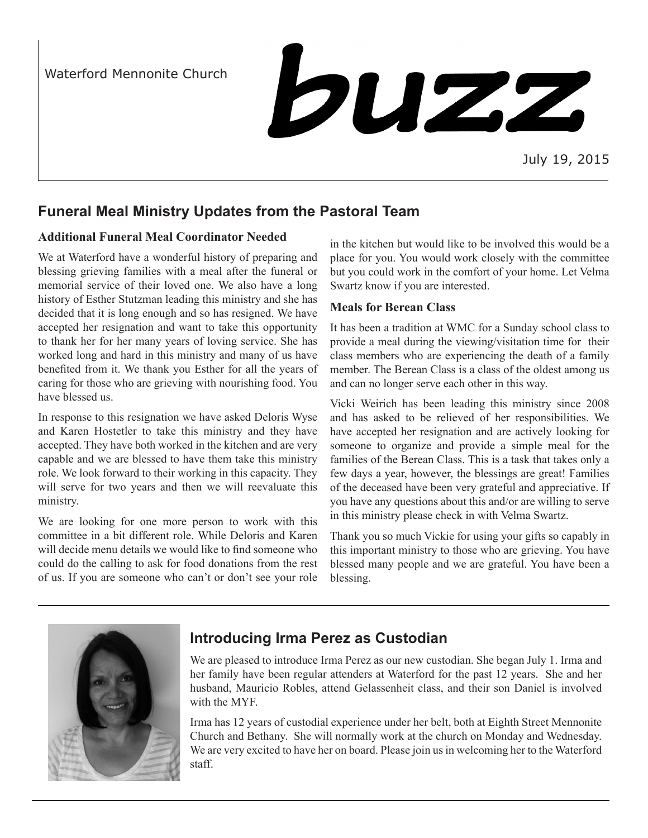Waterford Mennonite Church



July 19, 2015

# **Funeral Meal Ministry Updates from the Pastoral Team**

### **Additional Funeral Meal Coordinator Needed**

We at Waterford have a wonderful history of preparing and blessing grieving families with a meal after the funeral or memorial service of their loved one. We also have a long history of Esther Stutzman leading this ministry and she has decided that it is long enough and so has resigned. We have accepted her resignation and want to take this opportunity to thank her for her many years of loving service. She has worked long and hard in this ministry and many of us have benefited from it. We thank you Esther for all the years of caring for those who are grieving with nourishing food. You have blessed us.

In response to this resignation we have asked Deloris Wyse and Karen Hostetler to take this ministry and they have accepted. They have both worked in the kitchen and are very capable and we are blessed to have them take this ministry role. We look forward to their working in this capacity. They will serve for two years and then we will reevaluate this ministry.

We are looking for one more person to work with this committee in a bit different role. While Deloris and Karen will decide menu details we would like to find someone who could do the calling to ask for food donations from the rest of us. If you are someone who can't or don't see your role in the kitchen but would like to be involved this would be a place for you. You would work closely with the committee but you could work in the comfort of your home. Let Velma Swartz know if you are interested.

### **Meals for Berean Class**

It has been a tradition at WMC for a Sunday school class to provide a meal during the viewing/visitation time for their class members who are experiencing the death of a family member. The Berean Class is a class of the oldest among us and can no longer serve each other in this way.

Vicki Weirich has been leading this ministry since 2008 and has asked to be relieved of her responsibilities. We have accepted her resignation and are actively looking for someone to organize and provide a simple meal for the families of the Berean Class. This is a task that takes only a few days a year, however, the blessings are great! Families of the deceased have been very grateful and appreciative. If you have any questions about this and/or are willing to serve in this ministry please check in with Velma Swartz.

Thank you so much Vickie for using your gifts so capably in this important ministry to those who are grieving. You have blessed many people and we are grateful. You have been a blessing.



# **Introducing Irma Perez as Custodian**

We are pleased to introduce Irma Perez as our new custodian. She began July 1. Irma and her family have been regular attenders at Waterford for the past 12 years. She and her husband, Mauricio Robles, attend Gelassenheit class, and their son Daniel is involved with the MYF.

Irma has 12 years of custodial experience under her belt, both at Eighth Street Mennonite Church and Bethany. She will normally work at the church on Monday and Wednesday. We are very excited to have her on board. Please join us in welcoming her to the Waterford staff.